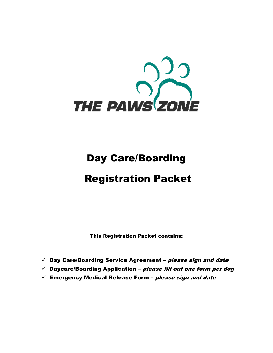

# Day Care/Boarding

# Registration Packet

This Registration Packet contains:

- $\checkmark$  Day Care/Boarding Service Agreement please sign and date
- $\checkmark$  Daycare/Boarding Application please fill out one form per dog
- $\checkmark$  Emergency Medical Release Form please sign and date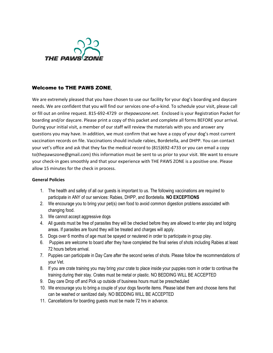

# Welcome to THE PAWS ZONE,

We are extremely pleased that you have chosen to use our facility for your dog's boarding and daycare needs. We are confident that you will find our services one-of-a-kind. To schedule your visit, please call or fill out an online request. 815-692-4729 or *thepawszone.net*. Enclosed is your Registration Packet for boarding and/or daycare. Please print a copy of this packet and complete all forms BEFORE your arrival. During your initial visit, a member of our staff will review the materials with you and answer any questions you may have. In addition, we must confirm that we have a copy of your dog's most current vaccination records on file. Vaccinations should include rabies, Bordetella, and DHPP. You can contact your vet's office and ask that they fax the medical record to (815)692-4733 or you can email a copy to(thepawszone@gmail.com) this information must be sent to us prior to your visit. We want to ensure your check-in goes smoothly and that your experience with THE PAWS ZONE is a positive one. Please allow 15 minutes for the check in process.

### **General Policies**

- 1. The health and safety of all our guests is important to us. The following vaccinations are required to participate in ANY of our services: Rabies, DHPP, and Bordetella. **NO EXCEPTIONS**
- 2. We encourage you to bring your pet(s) own food to avoid common digestion problems associated with changing food.
- 3. We cannot accept aggressive dogs
- 4. All guests must be free of parasites they will be checked before they are allowed to enter play and lodging areas. If parasites are found they will be treated and charges will apply.
- 5. Dogs over 6 months of age must be spayed or neutered in order to participate in group play.
- 6. Puppies are welcome to board after they have completed the final series of shots including Rabies at least 72 hours before arrival.
- 7. Puppies can participate in Day Care after the second series of shots. Please follow the recommendations of your Vet.
- 8. If you are crate training you may bring your crate to place inside your puppies room in order to continue the training during their stay. Crates must be metal or plastic. NO BEDDING WILL BE ACCEPTED
- 9. Day care Drop off and Pick up outside of business hours must be prescheduled
- 10. We encourage you to bring a couple of your dogs favorite items. Please label them and choose items that can be washed or sanitized daily. NO BEDDING WILL BE ACCEPTED
- 11. Cancellations for boarding guests must be made 72 hrs in advance.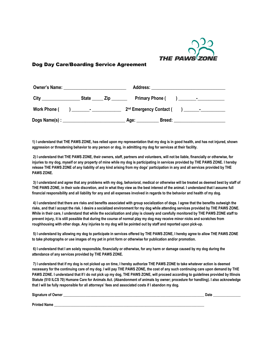

## Dog Day Care/Boarding Service Agreement

| <b>Owner's Name:</b> |  |                         |  | Address: _________________________________ |
|----------------------|--|-------------------------|--|--------------------------------------------|
|                      |  | State _____ Zip _______ |  |                                            |
| <b>Work Phone (</b>  |  |                         |  |                                            |
|                      |  |                         |  | Age: ___________ Breed: ______________     |

**1) I understand that THE PAWS ZONE, has relied upon my representation that my dog is in good health, and has not injured, shown aggression or threatening behavior to any person or dog, in admitting my dog for services at their facility.**

**2) I understand that THE PAWS ZONE, their owners, staff, partners and volunteers, will not be liable, financially or otherwise, for injuries to my dog, myself or any property of mine while my dog is participating in services provided by THE PAWS ZONE. I hereby release THE PAWS ZONE of any liability of any kind arising from my dogs' participation in any and all services provided by THE PAWS ZONE.**

**3) I understand and agree that any problems with my dog, behavioral, medical or otherwise will be treated as deemed best by staff of THE PAWS ZONE, in their sole discretion, and in what they view as the best interest of the animal. I understand that I assume full financial responsibility and all liability for any and all expenses involved in regards to the behavior and health of my dog.**

**4) I understand that there are risks and benefits associated with group socialization of dogs. I agree that the benefits outweigh the risks, and that I accept the risk. I desire a socialized environment for my dog while attending services provided by THE PAWS ZONE. While in their care, I understand that while the socialization and play is closely and carefully monitored by THE PAWS ZONE staff to prevent injury, it is still possible that during the course of normal play my dog may receive minor nicks and scratches from roughhousing with other dogs. Any injuries to my dog will be pointed out by staff and reported upon pick-up.**

**5) I understand by allowing my dog to participate in services offered by THE PAWS ZONE, I hereby agree to allow THE PAWS ZONE to take photographs or use images of my pet in print form or otherwise for publication and/or promotion.**

**6) I understand that I am solely responsible, financially or otherwise, for any harm or damage caused by my dog during the attendance of any services provided by THE PAWS ZONE.**

**7) I understand that if my dog is not picked up on time, I hereby authorize THE PAWS ZONE to take whatever action is deemed necessary for the continuing care of my dog. I will pay THE PAWS ZONE, the cost of any such continuing care upon demand by THE PAWS ZONE. I understand that If I do not pick up my dog, THE PAWS ZONE, will proceed according to guidelines provided by Illinois Statute (510 ILCS 70) Humane Care for Animals Act. (Abandonment of animals by owner; procedure for handling). I also acknowledge that I will be fully responsible for all attorneys' fees and associated costs if I abandon my dog.**

**Signature of Owner \_\_\_\_\_\_\_\_\_\_\_\_\_\_\_\_\_\_\_\_\_\_\_\_\_\_\_\_\_\_\_\_\_\_\_\_\_\_\_\_\_\_\_\_\_\_\_\_\_\_\_\_\_\_\_\_\_\_\_\_\_\_\_\_\_\_\_\_\_\_\_\_\_\_\_\_\_ Date \_\_\_\_\_\_\_\_\_\_\_\_\_\_\_** 

**Printed Name \_\_\_\_\_\_\_\_\_\_\_\_\_\_\_\_\_\_\_\_\_\_\_\_\_\_\_\_\_\_\_\_\_\_\_\_\_\_\_\_\_\_\_\_\_\_\_\_\_\_\_\_\_\_\_\_\_\_\_\_\_\_\_\_\_\_\_\_\_\_\_\_\_\_\_\_\_\_\_\_\_\_**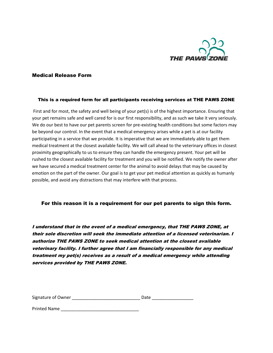

#### Medical Release Form

#### This is a required form for all participants receiving services at THE PAWS ZONE

First and for most, the safety and well being of your pet(s) is of the highest importance. Ensuring that your pet remains safe and well cared for is our first responsibility, and as such we take it very seriously. We do our best to have our pet parents screen for pre-existing health conditions but some factors may be beyond our control. In the event that a medical emergency arises while a pet is at our facility participating in a service that we provide. It is imperative that we are immediately able to get them medical treatment at the closest available facility. We will call ahead to the veterinary offices in closest proximity geographically to us to ensure they can handle the emergency present. Your pet will be rushed to the closest available facility for treatment and you will be notified. We notify the owner after we have secured a medical treatment center for the animal to avoid delays that may be caused by emotion on the part of the owner. Our goal is to get your pet medical attention as quickly as humanly possible, and avoid any distractions that may interfere with that process.

### For this reason it is a requirement for our pet parents to sign this form.

I understand that in the event of a medical emergency, that THE PAWS ZONE, at their sole discretion will seek the immediate attention of a licensed veterinarian. I authorize THE PAWS ZONE to seek medical attention at the closest available veterinary facility. I further agree that I am financially responsible for any medical treatment my pet(s) receives as a result of a medical emergency while attending services provided by THE PAWS ZONE.

| Signature of Owner | Date |
|--------------------|------|
|                    |      |

Printed Name \_\_\_\_\_\_\_\_\_\_\_\_\_\_\_\_\_\_\_\_\_\_\_\_\_\_\_\_\_\_\_\_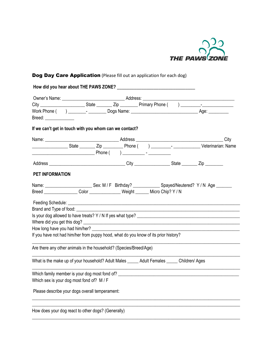

# Dog Day Care Application (Please fill out an application for each dog)

| How did you hear about THE PAWS ZONE?                                                       |  |  |  |  |
|---------------------------------------------------------------------------------------------|--|--|--|--|
|                                                                                             |  |  |  |  |
|                                                                                             |  |  |  |  |
|                                                                                             |  |  |  |  |
| Breed: ______________                                                                       |  |  |  |  |
| If we can't get in touch with you whom can we contact?                                      |  |  |  |  |
|                                                                                             |  |  |  |  |
|                                                                                             |  |  |  |  |
|                                                                                             |  |  |  |  |
|                                                                                             |  |  |  |  |
| <b>PET INFORMATION</b>                                                                      |  |  |  |  |
|                                                                                             |  |  |  |  |
| Breed Color Color Weight Micro Chip? Y/N                                                    |  |  |  |  |
|                                                                                             |  |  |  |  |
| Brand and Type of food: National Assemblance and Type of food:                              |  |  |  |  |
|                                                                                             |  |  |  |  |
|                                                                                             |  |  |  |  |
|                                                                                             |  |  |  |  |
| If you have not had him/her from puppy hood, what do you know of its prior history?         |  |  |  |  |
| Are there any other animals in the household? (Species/Breed/Age)                           |  |  |  |  |
| What is the make up of your household? Adult Males _____ Adult Females _____ Children/ Ages |  |  |  |  |
| Which family member is your dog most fond of? __________________________________            |  |  |  |  |
| Which sex is your dog most fond of? M / F                                                   |  |  |  |  |
| Please describe your dogs overall temperament:                                              |  |  |  |  |
|                                                                                             |  |  |  |  |
| How does your dog react to other dogs? (Generally)                                          |  |  |  |  |

\_\_\_\_\_\_\_\_\_\_\_\_\_\_\_\_\_\_\_\_\_\_\_\_\_\_\_\_\_\_\_\_\_\_\_\_\_\_\_\_\_\_\_\_\_\_\_\_\_\_\_\_\_\_\_\_\_\_\_\_\_\_\_\_\_\_\_\_\_\_\_\_\_\_\_\_\_\_\_\_\_\_\_\_\_\_\_\_\_\_\_\_\_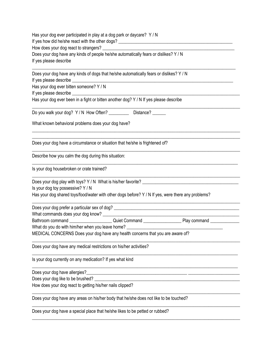| Has your dog ever participated in play at a dog park or daycare? Y / N<br>Does your dog have any kinds of people he/she automatically fears or dislikes? Y / N<br>If yes please describe |
|------------------------------------------------------------------------------------------------------------------------------------------------------------------------------------------|
| Does your dog have any kinds of dogs that he/she automatically fears or dislikes? Y / N                                                                                                  |
| Has your dog ever bitten someone? Y / N                                                                                                                                                  |
| Has your dog ever been in a fight or bitten another dog? Y / N If yes please describe                                                                                                    |
| Do you walk your dog? Y / N How Often? ___________ Distance? ______                                                                                                                      |
| What known behavioral problems does your dog have?                                                                                                                                       |
| Does your dog have a circumstance or situation that he/she is frightened of?                                                                                                             |
| Describe how you calm the dog during this situation:                                                                                                                                     |
| Is your dog housebroken or crate trained?                                                                                                                                                |
| Is your dog toy possessive? Y / N<br>Has your dog shared toys/food/water with other dogs before? Y / N If yes, were there any problems?                                                  |
|                                                                                                                                                                                          |
|                                                                                                                                                                                          |
|                                                                                                                                                                                          |
| What do you do with him/her when you leave home? _______________________________<br>MEDICAL CONCERNS Does your dog have any health concerns that you are aware of?                       |
| Does your dog have any medical restrictions on his/her activities?                                                                                                                       |
| Is your dog currently on any medication? If yes what kind                                                                                                                                |
| Does your dog have allergies?                                                                                                                                                            |
| Does your dog like to be brushed? _                                                                                                                                                      |
| How does your dog react to getting his/her nails clipped?                                                                                                                                |
| Does your dog have any areas on his/her body that he/she does not like to be touched?                                                                                                    |
| Does your dog have a special place that he/she likes to be petted or rubbed?                                                                                                             |